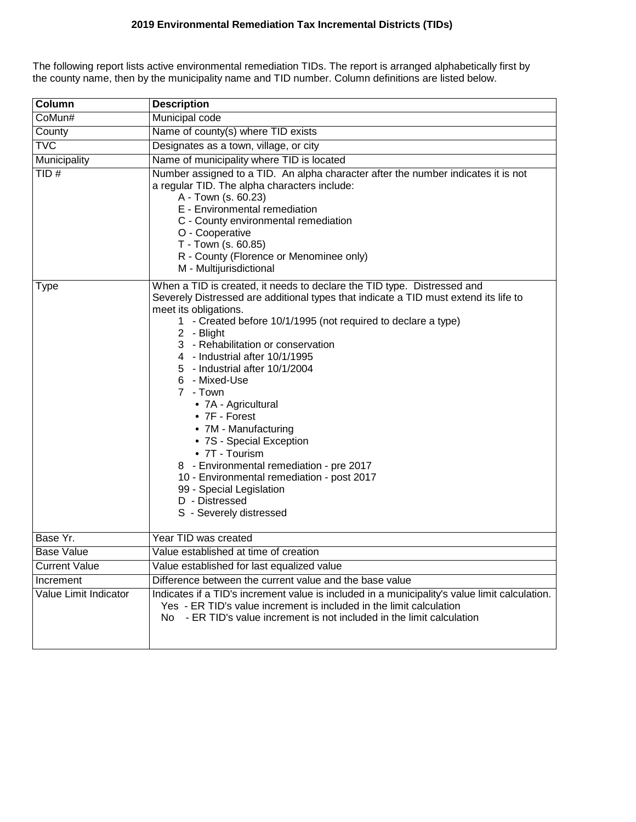## **2019 Environmental Remediation Tax Incremental Districts (TIDs)**

The following report lists active environmental remediation TIDs. The report is arranged alphabetically first by the county name, then by the municipality name and TID number. Column definitions are listed below.

| Column                | <b>Description</b>                                                                                                                                                                                                                                                                                                                                                                                                                                                                                                                                                                                                                                                                                      |  |  |  |  |  |  |
|-----------------------|---------------------------------------------------------------------------------------------------------------------------------------------------------------------------------------------------------------------------------------------------------------------------------------------------------------------------------------------------------------------------------------------------------------------------------------------------------------------------------------------------------------------------------------------------------------------------------------------------------------------------------------------------------------------------------------------------------|--|--|--|--|--|--|
| CoMun#                | Municipal code                                                                                                                                                                                                                                                                                                                                                                                                                                                                                                                                                                                                                                                                                          |  |  |  |  |  |  |
| County                | Name of county(s) where TID exists                                                                                                                                                                                                                                                                                                                                                                                                                                                                                                                                                                                                                                                                      |  |  |  |  |  |  |
| <b>TVC</b>            | Designates as a town, village, or city                                                                                                                                                                                                                                                                                                                                                                                                                                                                                                                                                                                                                                                                  |  |  |  |  |  |  |
| Municipality          | Name of municipality where TID is located                                                                                                                                                                                                                                                                                                                                                                                                                                                                                                                                                                                                                                                               |  |  |  |  |  |  |
| TID#                  | Number assigned to a TID. An alpha character after the number indicates it is not<br>a regular TID. The alpha characters include:<br>A - Town (s. 60.23)<br>E - Environmental remediation<br>C - County environmental remediation<br>O - Cooperative<br>T - Town (s. 60.85)<br>R - County (Florence or Menominee only)<br>M - Multijurisdictional                                                                                                                                                                                                                                                                                                                                                       |  |  |  |  |  |  |
| Type                  | When a TID is created, it needs to declare the TID type. Distressed and<br>Severely Distressed are additional types that indicate a TID must extend its life to<br>meet its obligations.<br>1 - Created before 10/1/1995 (not required to declare a type)<br>2 - Blight<br>3 - Rehabilitation or conservation<br>4 - Industrial after 10/1/1995<br>5 - Industrial after 10/1/2004<br>6 - Mixed-Use<br>7 - Town<br>• 7A - Agricultural<br>$\bullet$ 7F - Forest<br>• 7M - Manufacturing<br>• 7S - Special Exception<br>• 7T - Tourism<br>8 - Environmental remediation - pre 2017<br>10 - Environmental remediation - post 2017<br>99 - Special Legislation<br>D - Distressed<br>S - Severely distressed |  |  |  |  |  |  |
| Base Yr.              | Year TID was created                                                                                                                                                                                                                                                                                                                                                                                                                                                                                                                                                                                                                                                                                    |  |  |  |  |  |  |
| <b>Base Value</b>     | Value established at time of creation                                                                                                                                                                                                                                                                                                                                                                                                                                                                                                                                                                                                                                                                   |  |  |  |  |  |  |
| <b>Current Value</b>  | Value established for last equalized value                                                                                                                                                                                                                                                                                                                                                                                                                                                                                                                                                                                                                                                              |  |  |  |  |  |  |
| Increment             | Difference between the current value and the base value                                                                                                                                                                                                                                                                                                                                                                                                                                                                                                                                                                                                                                                 |  |  |  |  |  |  |
| Value Limit Indicator | Indicates if a TID's increment value is included in a municipality's value limit calculation.<br>Yes - ER TID's value increment is included in the limit calculation<br>No - ER TID's value increment is not included in the limit calculation                                                                                                                                                                                                                                                                                                                                                                                                                                                          |  |  |  |  |  |  |